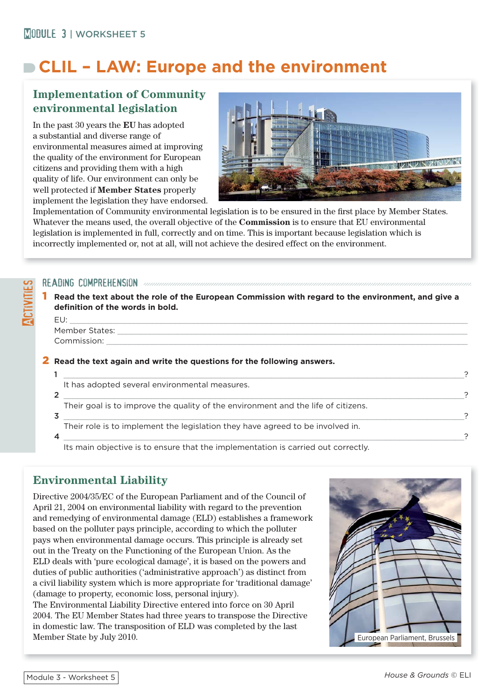# **CLIL – LAW: Europe and the environment**

# **Implementation of Community environmental legislation**

In the past 30 years the **EU** has adopted a substantial and diverse range of environmental measures aimed at improving the quality of the environment for European citizens and providing them with a high quality of life. Our environment can only be well protected if **Member States** properly implement the legislation they have endorsed.



Implementation of Community environmental legislation is to be ensured in the first place by Member States. Whatever the means used, the overall objective of the **Commission** is to ensure that EU environmental legislation is implemented in full, correctly and on time. This is important because legislation which is incorrectly implemented or, not at all, will not achieve the desired effect on the environment.

#### READING COMPREHENSION *and an international compression comprehension comprehension comprehension comprehension*

1 **Read the text about the role of the European Commission with regard to the environment, and give a**  definition of the words in bold.

EU: \_\_\_\_\_\_\_\_\_\_\_\_\_\_\_\_\_\_\_\_\_\_\_\_\_\_\_\_\_\_\_\_\_\_\_\_\_\_\_\_\_\_\_\_\_\_\_\_\_\_\_\_\_\_\_\_\_\_\_\_\_\_\_\_\_\_\_\_\_\_\_\_\_\_\_\_\_\_\_\_\_\_\_\_\_\_\_ Member States: Commission:

**ACTIVITIES** 

#### 2 **Read the text again and write the questions for the following answers.**

| It has adopted several environmental measures.                                    |  |
|-----------------------------------------------------------------------------------|--|
|                                                                                   |  |
| Their goal is to improve the quality of the environment and the life of citizens. |  |
|                                                                                   |  |
| Their role is to implement the legislation they have agreed to be involved in.    |  |
|                                                                                   |  |

Its main objective is to ensure that the implementation is carried out correctly.

# **Environmental Liability**

Directive 2004/35/EC of the European Parliament and of the Council of April 21, 2004 on environmental liability with regard to the prevention and remedying of environmental damage (ELD) establishes a framework based on the polluter pays principle, according to which the polluter pays when environmental damage occurs. This principle is already set out in the Treaty on the Functioning of the European Union. As the ELD deals with 'pure ecological damage', it is based on the powers and duties of public authorities ('administrative approach') as distinct from a civil liability system which is more appropriate for 'traditional damage' (damage to property, economic loss, personal injury).

The Environmental Liability Directive entered into force on 30 April 2004. The EU Member States had three years to transpose the Directive in domestic law. The transposition of ELD was completed by the last Member State by July 2010. The state of the State by July 2010.